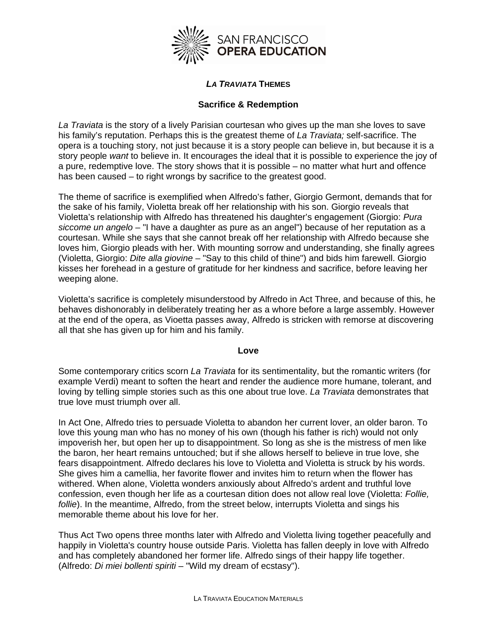

# *LA TRAVIATA* **THEMES**

# **Sacrifice & Redemption**

*La Traviata* is the story of a lively Parisian courtesan who gives up the man she loves to save his family's reputation. Perhaps this is the greatest theme of *La Traviata;* self-sacrifice. The opera is a touching story, not just because it is a story people can believe in, but because it is a story people *want* to believe in. It encourages the ideal that it is possible to experience the joy of a pure, redemptive love. The story shows that it is possible – no matter what hurt and offence has been caused – to right wrongs by sacrifice to the greatest good.

The theme of sacrifice is exemplified when Alfredo's father, Giorgio Germont, demands that for the sake of his family, Violetta break off her relationship with his son. Giorgio reveals that Violetta's relationship with Alfredo has threatened his daughter's engagement (Giorgio: *Pura siccome un angelo* – "I have a daughter as pure as an angel") because of her reputation as a courtesan. While she says that she cannot break off her relationship with Alfredo because she loves him, Giorgio pleads with her. With mounting sorrow and understanding, she finally agrees (Violetta, Giorgio: *Dite alla giovine* – "Say to this child of thine") and bids him farewell. Giorgio kisses her forehead in a gesture of gratitude for her kindness and sacrifice, before leaving her weeping alone.

Violetta's sacrifice is completely misunderstood by Alfredo in Act Three, and because of this, he behaves dishonorably in deliberately treating her as a whore before a large assembly. However at the end of the opera, as Vioetta passes away, Alfredo is stricken with remorse at discovering all that she has given up for him and his family.

## **Love**

Some contemporary critics scorn *La Traviata* for its sentimentality, but the romantic writers (for example Verdi) meant to soften the heart and render the audience more humane, tolerant, and loving by telling simple stories such as this one about true love. *La Traviata* demonstrates that true love must triumph over all.

In Act One, Alfredo tries to persuade Violetta to abandon her current lover, an older baron. To love this young man who has no money of his own (though his father is rich) would not only impoverish her, but open her up to disappointment. So long as she is the mistress of men like the baron, her heart remains untouched; but if she allows herself to believe in true love, she fears disappointment. Alfredo declares his love to Violetta and Violetta is struck by his words. She gives him a camellia, her favorite flower and invites him to return when the flower has withered. When alone, Violetta wonders anxiously about Alfredo's ardent and truthful love confession, even though her life as a courtesan dition does not allow real love (Violetta: *Follie, follie*). In the meantime, Alfredo, from the street below, interrupts Violetta and sings his memorable theme about his love for her.

Thus Act Two opens three months later with Alfredo and Violetta living together peacefully and happily in Violetta's country house outside Paris. Violetta has fallen deeply in love with Alfredo and has completely abandoned her former life. Alfredo sings of their happy life together. (Alfredo: *Di miei bollenti spiriti* – "Wild my dream of ecstasy").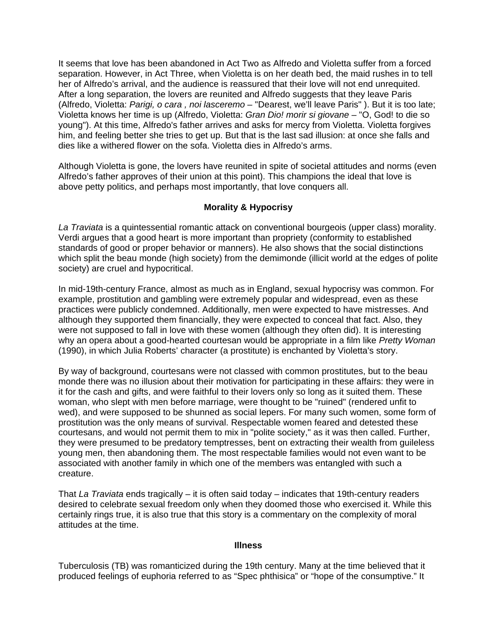It seems that love has been abandoned in Act Two as Alfredo and Violetta suffer from a forced separation. However, in Act Three, when Violetta is on her death bed, the maid rushes in to tell her of Alfredo's arrival, and the audience is reassured that their love will not end unrequited. After a long separation, the lovers are reunited and Alfredo suggests that they leave Paris (Alfredo, Violetta: *Parigi, o cara , noi lasceremo* – "Dearest, we'll leave Paris" ). But it is too late; Violetta knows her time is up (Alfredo, Violetta: *Gran Dio! morir si giovane* – "O, God! to die so young"). At this time, Alfredo's father arrives and asks for mercy from Violetta. Violetta forgives him, and feeling better she tries to get up. But that is the last sad illusion: at once she falls and dies like a withered flower on the sofa. Violetta dies in Alfredo's arms.

Although Violetta is gone, the lovers have reunited in spite of societal attitudes and norms (even Alfredo's father approves of their union at this point). This champions the ideal that love is above petty politics, and perhaps most importantly, that love conquers all.

## **Morality & Hypocrisy**

*La Traviata* is a quintessential romantic attack on conventional bourgeois (upper class) morality. Verdi argues that a good heart is more important than propriety (conformity to established standards of good or proper behavior or manners). He also shows that the social distinctions which split the beau monde (high society) from the demimonde (illicit world at the edges of polite society) are cruel and hypocritical.

In mid-19th-century France, almost as much as in England, sexual hypocrisy was common. For example, prostitution and gambling were extremely popular and widespread, even as these practices were publicly condemned. Additionally, men were expected to have mistresses. And although they supported them financially, they were expected to conceal that fact. Also, they were not supposed to fall in love with these women (although they often did). It is interesting why an opera about a good-hearted courtesan would be appropriate in a film like *Pretty Woman* (1990), in which Julia Roberts' character (a prostitute) is enchanted by Violetta's story.

By way of background, courtesans were not classed with common prostitutes, but to the beau monde there was no illusion about their motivation for participating in these affairs: they were in it for the cash and gifts, and were faithful to their lovers only so long as it suited them. These woman, who slept with men before marriage, were thought to be "ruined" (rendered unfit to wed), and were supposed to be shunned as social lepers. For many such women, some form of prostitution was the only means of survival. Respectable women feared and detested these courtesans, and would not permit them to mix in "polite society," as it was then called. Further, they were presumed to be predatory temptresses, bent on extracting their wealth from guileless young men, then abandoning them. The most respectable families would not even want to be associated with another family in which one of the members was entangled with such a creature.

That *La Traviata* ends tragically – it is often said today – indicates that 19th-century readers desired to celebrate sexual freedom only when they doomed those who exercised it. While this certainly rings true, it is also true that this story is a commentary on the complexity of moral attitudes at the time.

#### **Illness**

Tuberculosis (TB) was romanticized during the 19th century. Many at the time believed that it produced feelings of euphoria referred to as "Spec phthisica" or "hope of the consumptive." It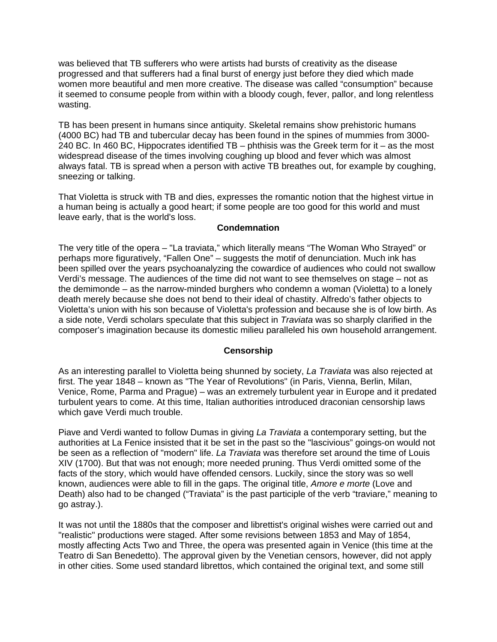was believed that TB sufferers who were artists had bursts of creativity as the disease progressed and that sufferers had a final burst of energy just before they died which made women more beautiful and men more creative. The disease was called "consumption" because it seemed to consume people from within with a bloody cough, fever, pallor, and long relentless wasting.

TB has been present in humans since antiquity. Skeletal remains show prehistoric humans (4000 BC) had TB and tubercular decay has been found in the spines of mummies from 3000- 240 BC. In 460 BC, Hippocrates identified TB – phthisis was the Greek term for it – as the most widespread disease of the times involving coughing up blood and fever which was almost always fatal. TB is spread when a person with active TB breathes out, for example by coughing, sneezing or talking.

That Violetta is struck with TB and dies, expresses the romantic notion that the highest virtue in a human being is actually a good heart; if some people are too good for this world and must leave early, that is the world's loss.

## **Condemnation**

The very title of the opera – "La traviata," which literally means "The Woman Who Strayed" or perhaps more figuratively, "Fallen One" – suggests the motif of denunciation. Much ink has been spilled over the years psychoanalyzing the cowardice of audiences who could not swallow Verdi's message. The audiences of the time did not want to see themselves on stage – not as the demimonde – as the narrow-minded burghers who condemn a woman (Violetta) to a lonely death merely because she does not bend to their ideal of chastity. Alfredo's father objects to Violetta's union with his son because of Violetta's profession and because she is of low birth. As a side note, Verdi scholars speculate that this subject in *Traviata* was so sharply clarified in the composer's imagination because its domestic milieu paralleled his own household arrangement.

## **Censorship**

As an interesting parallel to Violetta being shunned by society, *La Traviata* was also rejected at first. The year 1848 – known as "The Year of Revolutions" (in Paris, Vienna, Berlin, Milan, Venice, Rome, Parma and Prague) – was an extremely turbulent year in Europe and it predated turbulent years to come. At this time, Italian authorities introduced draconian censorship laws which gave Verdi much trouble.

Piave and Verdi wanted to follow Dumas in giving *La Traviata* a contemporary setting, but the authorities at La Fenice insisted that it be set in the past so the "lascivious" goings-on would not be seen as a reflection of "modern" life. *La Traviata* was therefore set around the time of Louis XIV (1700). But that was not enough; more needed pruning. Thus Verdi omitted some of the facts of the story, which would have offended censors. Luckily, since the story was so well known, audiences were able to fill in the gaps. The original title, *Amore e morte* (Love and Death) also had to be changed ("Traviata" is the past participle of the verb "traviare," meaning to go astray.).

It was not until the 1880s that the composer and librettist's original wishes were carried out and "realistic" productions were staged. After some revisions between 1853 and May of 1854, mostly affecting Acts Two and Three, the opera was presented again in Venice (this time at the Teatro di San Benedetto). The approval given by the Venetian censors, however, did not apply in other cities. Some used standard librettos, which contained the original text, and some still